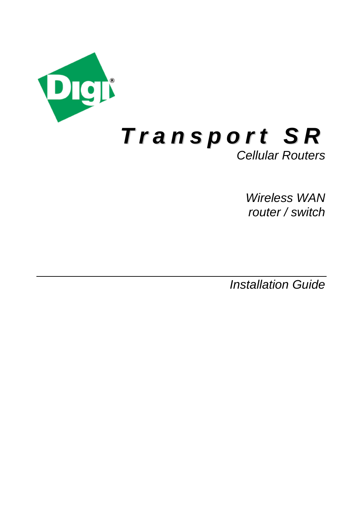

*Wireless WAN router / switch*

*Installation Guide*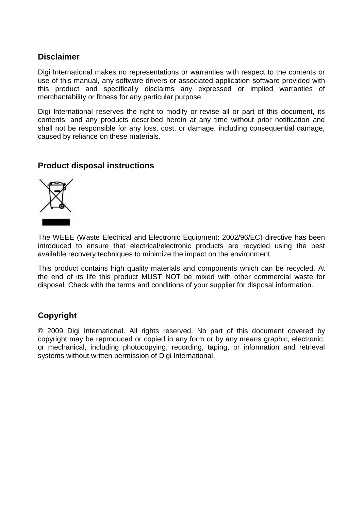#### **Disclaimer**

Digi International makes no representations or warranties with respect to the contents or use of this manual, any software drivers or associated application software provided with this product and specifically disclaims any expressed or implied warranties of merchantability or fitness for any particular purpose.

Digi International reserves the right to modify or revise all or part of this document, its contents, and any products described herein at any time without prior notification and shall not be responsible for any loss, cost, or damage, including consequential damage, caused by reliance on these materials.

#### **Product disposal instructions**



The WEEE (Waste Electrical and Electronic Equipment: 2002/96/EC) directive has been introduced to ensure that electrical/electronic products are recycled using the best available recovery techniques to minimize the impact on the environment.

This product contains high quality materials and components which can be recycled. At the end of its life this product MUST NOT be mixed with other commercial waste for disposal. Check with the terms and conditions of your supplier for disposal information.

#### **Copyright**

© 2009 Digi International. All rights reserved. No part of this document covered by copyright may be reproduced or copied in any form or by any means graphic, electronic, or mechanical, including photocopying, recording, taping, or information and retrieval systems without written permission of Digi International.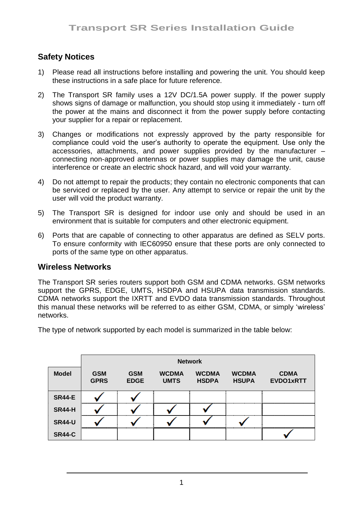# **Safety Notices**

- 1) Please read all instructions before installing and powering the unit. You should keep these instructions in a safe place for future reference.
- 2) The Transport SR family uses a 12V DC/1.5A power supply. If the power supply shows signs of damage or malfunction, you should stop using it immediately - turn off the power at the mains and disconnect it from the power supply before contacting your supplier for a repair or replacement.
- 3) Changes or modifications not expressly approved by the party responsible for compliance could void the user"s authority to operate the equipment. Use only the accessories, attachments, and power supplies provided by the manufacturer – connecting non-approved antennas or power supplies may damage the unit, cause interference or create an electric shock hazard, and will void your warranty.
- 4) Do not attempt to repair the products; they contain no electronic components that can be serviced or replaced by the user. Any attempt to service or repair the unit by the user will void the product warranty.
- 5) The Transport SR is designed for indoor use only and should be used in an environment that is suitable for computers and other electronic equipment.
- 6) Ports that are capable of connecting to other apparatus are defined as SELV ports. To ensure conformity with IEC60950 ensure that these ports are only connected to ports of the same type on other apparatus.

#### **Wireless Networks**

The Transport SR series routers support both GSM and CDMA networks. GSM networks support the GPRS, EDGE, UMTS, HSDPA and HSUPA data transmission standards. CDMA networks support the IXRTT and EVDO data transmission standards. Throughout this manual these networks will be referred to as either GSM, CDMA, or simply "wireless" networks.

The type of network supported by each model is summarized in the table below:

|               | <b>Network</b>            |                           |                             |                              |                              |                          |
|---------------|---------------------------|---------------------------|-----------------------------|------------------------------|------------------------------|--------------------------|
| <b>Model</b>  | <b>GSM</b><br><b>GPRS</b> | <b>GSM</b><br><b>EDGE</b> | <b>WCDMA</b><br><b>UMTS</b> | <b>WCDMA</b><br><b>HSDPA</b> | <b>WCDMA</b><br><b>HSUPA</b> | <b>CDMA</b><br>EVDO1xRTT |
| <b>SR44-E</b> |                           |                           |                             |                              |                              |                          |
| <b>SR44-H</b> |                           |                           |                             |                              |                              |                          |
| <b>SR44-U</b> |                           |                           |                             |                              |                              |                          |
| <b>SR44-C</b> |                           |                           |                             |                              |                              |                          |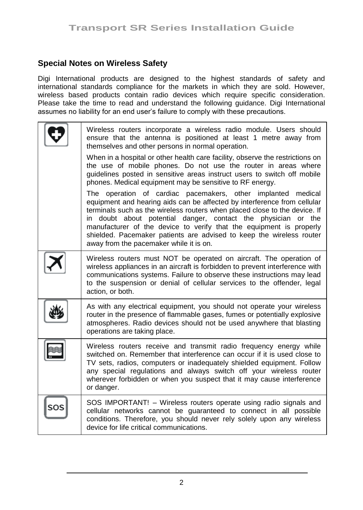### **Special Notes on Wireless Safety**

Digi International products are designed to the highest standards of safety and international standards compliance for the markets in which they are sold. However, wireless based products contain radio devices which require specific consideration. Please take the time to read and understand the following guidance. Digi International assumes no liability for an end user"s failure to comply with these precautions.

| Wireless routers incorporate a wireless radio module. Users should<br>ensure that the antenna is positioned at least 1 metre away from<br>themselves and other persons in normal operation.<br>When in a hospital or other health care facility, observe the restrictions on<br>the use of mobile phones. Do not use the router in areas where<br>quidelines posted in sensitive areas instruct users to switch off mobile<br>phones. Medical equipment may be sensitive to RF energy.<br>The operation of cardiac pacemakers, other implanted medical<br>equipment and hearing aids can be affected by interference from cellular |
|------------------------------------------------------------------------------------------------------------------------------------------------------------------------------------------------------------------------------------------------------------------------------------------------------------------------------------------------------------------------------------------------------------------------------------------------------------------------------------------------------------------------------------------------------------------------------------------------------------------------------------|
| terminals such as the wireless routers when placed close to the device. If<br>in doubt about potential danger, contact the physician or the<br>manufacturer of the device to verify that the equipment is properly<br>shielded. Pacemaker patients are advised to keep the wireless router<br>away from the pacemaker while it is on.                                                                                                                                                                                                                                                                                              |
| Wireless routers must NOT be operated on aircraft. The operation of<br>wireless appliances in an aircraft is forbidden to prevent interference with<br>communications systems. Failure to observe these instructions may lead<br>to the suspension or denial of cellular services to the offender, legal<br>action, or both.                                                                                                                                                                                                                                                                                                       |
| As with any electrical equipment, you should not operate your wireless<br>router in the presence of flammable gases, fumes or potentially explosive<br>atmospheres. Radio devices should not be used anywhere that blasting<br>operations are taking place.                                                                                                                                                                                                                                                                                                                                                                        |
| Wireless routers receive and transmit radio frequency energy while<br>switched on. Remember that interference can occur if it is used close to<br>TV sets, radios, computers or inadequately shielded equipment. Follow<br>any special regulations and always switch off your wireless router<br>wherever forbidden or when you suspect that it may cause interference<br>or danger.                                                                                                                                                                                                                                               |
| SOS IMPORTANT! – Wireless routers operate using radio signals and<br>cellular networks cannot be quaranteed to connect in all possible<br>conditions. Therefore, you should never rely solely upon any wireless<br>device for life critical communications.                                                                                                                                                                                                                                                                                                                                                                        |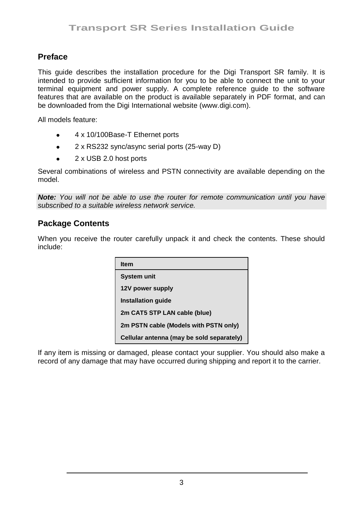### **Preface**

This guide describes the installation procedure for the Digi Transport SR family. It is intended to provide sufficient information for you to be able to connect the unit to your terminal equipment and power supply. A complete reference guide to the software features that are available on the product is available separately in PDF format, and can be downloaded from the Digi International website (www.digi.com).

All models feature:

- $\bullet$ 4 x 10/100Base-T Ethernet ports
- 2 x RS232 sync/async serial ports (25-way D)  $\bullet$
- 2 x USB 2.0 host ports  $\bullet$

Several combinations of wireless and PSTN connectivity are available depending on the model.

*Note: You will not be able to use the router for remote communication until you have subscribed to a suitable wireless network service.*

#### **Package Contents**

When you receive the router carefully unpack it and check the contents. These should include:

| ltem                                      |
|-------------------------------------------|
| <b>System unit</b>                        |
| 12V power supply                          |
| <b>Installation guide</b>                 |
| 2m CAT5 STP LAN cable (blue)              |
| 2m PSTN cable (Models with PSTN only)     |
| Cellular antenna (may be sold separately) |

If any item is missing or damaged, please contact your supplier. You should also make a record of any damage that may have occurred during shipping and report it to the carrier.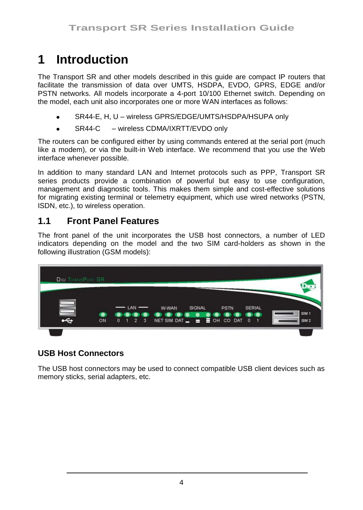# **1 Introduction**

The Transport SR and other models described in this guide are compact IP routers that facilitate the transmission of data over UMTS, HSDPA, EVDO, GPRS, EDGE and/or PSTN networks. All models incorporate a 4-port 10/100 Ethernet switch. Depending on the model, each unit also incorporates one or more WAN interfaces as follows:

- SR44-E, H, U wireless GPRS/EDGE/UMTS/HSDPA/HSUPA only
- SR44-C wireless CDMA/IXRTT/EVDO only

The routers can be configured either by using commands entered at the serial port (much like a modem), or via the built-in Web interface. We recommend that you use the Web interface whenever possible.

In addition to many standard LAN and Internet protocols such as PPP, Transport SR series products provide a combination of powerful but easy to use configuration, management and diagnostic tools. This makes them simple and cost-effective solutions for migrating existing terminal or telemetry equipment, which use wired networks (PSTN, ISDN, etc.), to wireless operation.

# **1.1 Front Panel Features**

The front panel of the unit incorporates the USB host connectors, a number of LED indicators depending on the model and the two SIM card-holders as shown in the following illustration (GSM models):



# **USB Host Connectors**

The USB host connectors may be used to connect compatible USB client devices such as memory sticks, serial adapters, etc.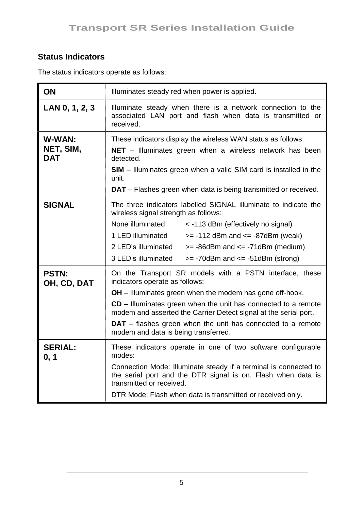# **Status Indicators**

| ON                                | Illuminates steady red when power is applied.                                                                                                                                                                                                                                                                                                                                                                    |  |  |
|-----------------------------------|------------------------------------------------------------------------------------------------------------------------------------------------------------------------------------------------------------------------------------------------------------------------------------------------------------------------------------------------------------------------------------------------------------------|--|--|
| LAN 0, 1, 2, 3                    | Illuminate steady when there is a network connection to the<br>associated LAN port and flash when data is transmitted or<br>received.                                                                                                                                                                                                                                                                            |  |  |
| W-WAN:<br>NET, SIM,<br><b>DAT</b> | These indicators display the wireless WAN status as follows:<br>$NET$ – Illuminates green when a wireless network has been<br>detected.<br><b>SIM</b> – Illuminates green when a valid SIM card is installed in the<br>unit.<br><b>DAT</b> – Flashes green when data is being transmitted or received.                                                                                                           |  |  |
| <b>SIGNAL</b>                     | The three indicators labelled SIGNAL illuminate to indicate the<br>wireless signal strength as follows:<br>None illuminated<br>< -113 dBm (effectively no signal)<br>1 LED illuminated<br>$>= -112$ dBm and $<= -87$ dBm (weak)<br>2 LED's illuminated<br>$>= -86$ dBm and $<= -71$ dBm (medium)<br>3 LED's illuminated<br>$>= -70$ dBm and $<= -51$ dBm (strong)                                                |  |  |
| <b>PSTN:</b><br>OH, CD, DAT       | On the Transport SR models with a PSTN interface, these<br>indicators operate as follows:<br><b>OH</b> – Illuminates green when the modem has gone off-hook.<br>CD - Illuminates green when the unit has connected to a remote<br>modem and asserted the Carrier Detect signal at the serial port.<br><b>DAT</b> – flashes green when the unit has connected to a remote<br>modem and data is being transferred. |  |  |
| <b>SERIAL:</b><br>0, 1            | These indicators operate in one of two software configurable<br>modes:<br>Connection Mode: Illuminate steady if a terminal is connected to<br>the serial port and the DTR signal is on. Flash when data is<br>transmitted or received.<br>DTR Mode: Flash when data is transmitted or received only.                                                                                                             |  |  |

The status indicators operate as follows: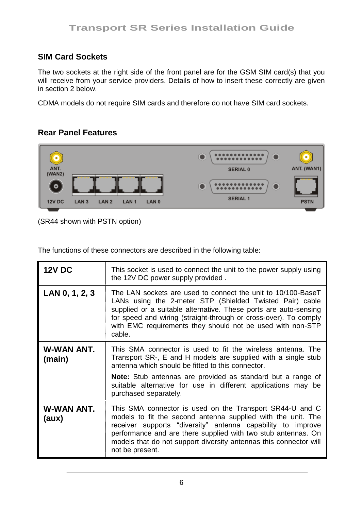# **SIM Card Sockets**

The two sockets at the right side of the front panel are for the GSM SIM card(s) that you will receive from your service providers. Details of how to insert these correctly are given in section 2 below.

CDMA models do not require SIM cards and therefore do not have SIM card sockets.

# **Rear Panel Features**



(SR44 shown with PSTN option)

The functions of these connectors are described in the following table:

| <b>12V DC</b>        | This socket is used to connect the unit to the power supply using<br>the 12V DC power supply provided.                                                                                                                                                                                                                                           |
|----------------------|--------------------------------------------------------------------------------------------------------------------------------------------------------------------------------------------------------------------------------------------------------------------------------------------------------------------------------------------------|
| LAN 0, 1, 2, 3       | The LAN sockets are used to connect the unit to 10/100-BaseT<br>LANs using the 2-meter STP (Shielded Twisted Pair) cable<br>supplied or a suitable alternative. These ports are auto-sensing<br>for speed and wiring (straight-through or cross-over). To comply<br>with EMC requirements they should not be used with non-STP<br>cable.         |
| W-WAN ANT.<br>(main) | This SMA connector is used to fit the wireless antenna. The<br>Transport SR-, E and H models are supplied with a single stub<br>antenna which should be fitted to this connector.<br>Note: Stub antennas are provided as standard but a range of<br>suitable alternative for use in different applications may be<br>purchased separately.       |
| W-WAN ANT.<br>(aux)  | This SMA connector is used on the Transport SR44-U and C<br>models to fit the second antenna supplied with the unit. The<br>receiver supports "diversity" antenna capability to improve<br>performance and are there supplied with two stub antennas. On<br>models that do not support diversity antennas this connector will<br>not be present. |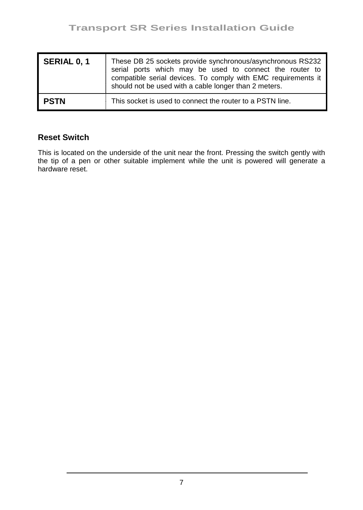| SERIAL 0, 1 | These DB 25 sockets provide synchronous/asynchronous RS232<br>serial ports which may be used to connect the router to<br>compatible serial devices. To comply with EMC requirements it<br>should not be used with a cable longer than 2 meters. |
|-------------|-------------------------------------------------------------------------------------------------------------------------------------------------------------------------------------------------------------------------------------------------|
| PSTN        | This socket is used to connect the router to a PSTN line.                                                                                                                                                                                       |

### **Reset Switch**

This is located on the underside of the unit near the front. Pressing the switch gently with the tip of a pen or other suitable implement while the unit is powered will generate a hardware reset.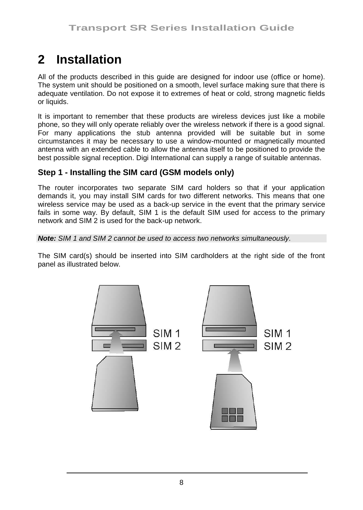# **2 Installation**

All of the products described in this guide are designed for indoor use (office or home). The system unit should be positioned on a smooth, level surface making sure that there is adequate ventilation. Do not expose it to extremes of heat or cold, strong magnetic fields or liquids.

It is important to remember that these products are wireless devices just like a mobile phone, so they will only operate reliably over the wireless network if there is a good signal. For many applications the stub antenna provided will be suitable but in some circumstances it may be necessary to use a window-mounted or magnetically mounted antenna with an extended cable to allow the antenna itself to be positioned to provide the best possible signal reception. Digi International can supply a range of suitable antennas.

# **Step 1 - Installing the SIM card (GSM models only)**

The router incorporates two separate SIM card holders so that if your application demands it, you may install SIM cards for two different networks. This means that one wireless service may be used as a back-up service in the event that the primary service fails in some way. By default, SIM 1 is the default SIM used for access to the primary network and SIM 2 is used for the back-up network.

*Note: SIM 1 and SIM 2 cannot be used to access two networks simultaneously.*

The SIM card(s) should be inserted into SIM cardholders at the right side of the front panel as illustrated below.

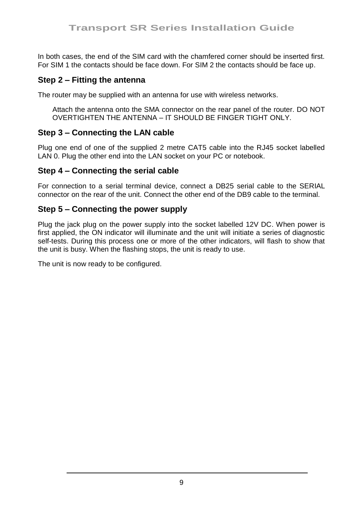In both cases, the end of the SIM card with the chamfered corner should be inserted first. For SIM 1 the contacts should be face down. For SIM 2 the contacts should be face up.

#### **Step 2 – Fitting the antenna**

The router may be supplied with an antenna for use with wireless networks.

Attach the antenna onto the SMA connector on the rear panel of the router. DO NOT OVERTIGHTEN THE ANTENNA – IT SHOULD BE FINGER TIGHT ONLY.

#### **Step 3 – Connecting the LAN cable**

Plug one end of one of the supplied 2 metre CAT5 cable into the RJ45 socket labelled LAN 0. Plug the other end into the LAN socket on your PC or notebook.

#### **Step 4 – Connecting the serial cable**

For connection to a serial terminal device, connect a DB25 serial cable to the SERIAL connector on the rear of the unit. Connect the other end of the DB9 cable to the terminal.

#### **Step 5 – Connecting the power supply**

Plug the jack plug on the power supply into the socket labelled 12V DC. When power is first applied, the ON indicator will illuminate and the unit will initiate a series of diagnostic self-tests. During this process one or more of the other indicators, will flash to show that the unit is busy. When the flashing stops, the unit is ready to use.

The unit is now ready to be configured.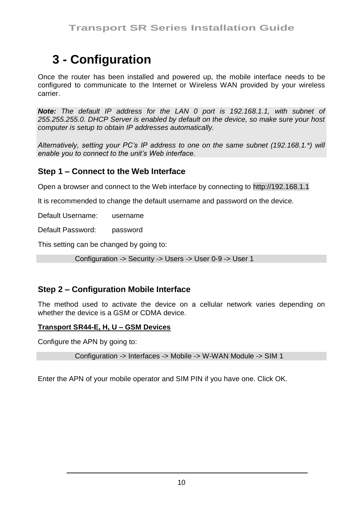# **3 - Configuration**

Once the router has been installed and powered up, the mobile interface needs to be configured to communicate to the Internet or Wireless WAN provided by your wireless carrier.

*Note: The default IP address for the LAN 0 port is 192.168.1.1, with subnet of 255.255.255.0. DHCP Server is enabled by default on the device, so make sure your host computer is setup to obtain IP addresses automatically.* 

*Alternatively, setting your PC's IP address to one on the same subnet (192.168.1.\*) will enable you to connect to the unit's Web interface.* 

#### **Step 1 – Connect to the Web Interface**

Open a browser and connect to the Web interface by connecting to http://192.168.1.1

It is recommended to change the default username and password on the device.

Default Username: username

Default Password: password

This setting can be changed by going to:

Configuration -> Security -> Users -> User 0-9 -> User 1

#### **Step 2 – Configuration Mobile Interface**

The method used to activate the device on a cellular network varies depending on whether the device is a GSM or CDMA device.

#### **Transport SR44-E, H, U – GSM Devices**

Configure the APN by going to:

Configuration -> Interfaces -> Mobile -> W-WAN Module -> SIM 1

Enter the APN of your mobile operator and SIM PIN if you have one. Click OK.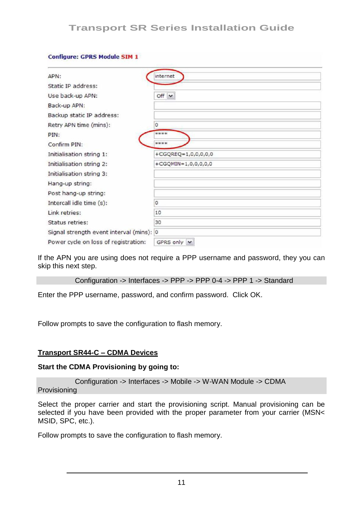| <b>COMMUTE: GPKS MOUVIE STM T</b>        |                       |
|------------------------------------------|-----------------------|
| APN:                                     | internet              |
| Static IP address:                       |                       |
| Use back-up APN:                         | $Off \sim$            |
| Back-up APN:                             |                       |
| Backup static IP address:                |                       |
| Retry APN time (mins):                   | $\circ$               |
| PIN:                                     | <b><i>RRRR</i></b>    |
| Confirm PIN:                             | <b>SCSC 90 SO</b>     |
| Initialisation string 1:                 | $+CGQREQ=1,0,0,0,0,0$ |
| Initialisation string 2:                 | +CGQMIN=1,0,0,0,0,0   |
| Initialisation string 3:                 |                       |
| Hang-up string:                          |                       |
| Post hang-up string:                     |                       |
| Intercall idle time (s):                 | 0                     |
| Link retries:                            | 10                    |
| <b>Status retries:</b>                   | 30                    |
| Signal strength event interval (mins): 0 |                       |
| Power cycle on loss of registration:     | GPRS only V           |

If the APN you are using does not require a PPP username and password, they you can skip this next step.

```
Configuration -> Interfaces -> PPP -> PPP 0-4 -> PPP 1 -> Standard
```
Enter the PPP username, password, and confirm password. Click OK.

Follow prompts to save the configuration to flash memory.

#### **Transport SR44-C – CDMA Devices**

Configuration CDDC Module CTM 1

#### **Start the CDMA Provisioning by going to:**

```
Configuration -> Interfaces -> Mobile -> W-WAN Module -> CDMA 
Provisioning
```
Select the proper carrier and start the provisioning script. Manual provisioning can be selected if you have been provided with the proper parameter from your carrier (MSN< MSID, SPC, etc.).

Follow prompts to save the configuration to flash memory.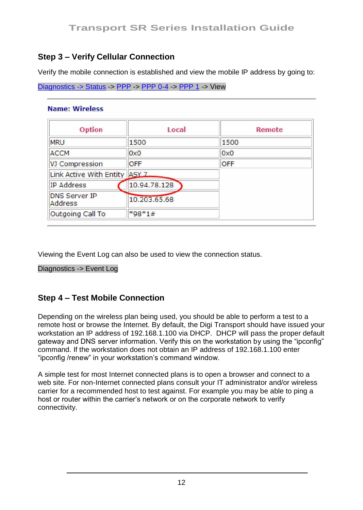# **Step 3 – Verify Cellular Connection**

Verify the mobile connection is established and view the mobile IP address by going to:

```
Diagnostics -> Status -> PPP -> PPP 0-4 -> PPP 1 -> View
```

| <b>Option</b>                   | Local            | Remote     |
|---------------------------------|------------------|------------|
| <b>MRU</b>                      | 1500             | 1500       |
| <b>ACCM</b>                     | 0x0              | 0x0        |
| VJ Compression                  | OFF              | <b>OFF</b> |
| Link Active With Entity         | ASY <sub>7</sub> |            |
| <b>IP Address</b>               | 10.94.78.128     |            |
| <b>DNS Server IP</b><br>Address | 10.203.65.68     |            |
| Outgoing Call To                | $*98*1#$         |            |

Viewing the Event Log can also be used to view the connection status.

Diagnostics -> Event Log

### **Step 4 – Test Mobile Connection**

Depending on the wireless plan being used, you should be able to perform a test to a remote host or browse the Internet. By default, the Digi Transport should have issued your workstation an IP address of 192.168.1.100 via DHCP. DHCP will pass the proper default gateway and DNS server information. Verify this on the workstation by using the "ipconfig" command. If the workstation does not obtain an IP address of 192.168.1.100 enter "ipconfig /renew" in your workstation"s command window.

A simple test for most Internet connected plans is to open a browser and connect to a web site. For non-Internet connected plans consult your IT administrator and/or wireless carrier for a recommended host to test against. For example you may be able to ping a host or router within the carrier"s network or on the corporate network to verify connectivity.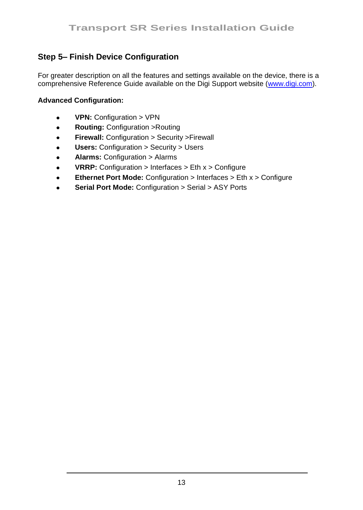# **Step 5– Finish Device Configuration**

For greater description on all the features and settings available on the device, there is a comprehensive Reference Guide available on the Digi Support website [\(www.digi.com\).](http://www.digi.com/)

#### **Advanced Configuration:**

- $\bullet$ **VPN:** Configuration > VPN
- **Routing:** Configuration >Routing  $\bullet$
- **Firewall:** Configuration > Security >Firewall  $\bullet$
- **Users:** Configuration > Security > Users  $\bullet$
- **Alarms:** Configuration > Alarms  $\bullet$
- **VRRP:** Configuration > Interfaces > Eth x > Configure  $\bullet$
- **Ethernet Port Mode:** Configuration > Interfaces > Eth x > Configure
- **Serial Port Mode:** Configuration > Serial > ASY Ports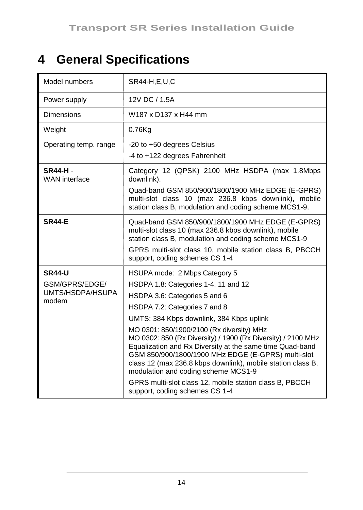# **4 General Specifications**

| Model numbers                                                | SR44-H,E,U,C                                                                                                                                                                                                                                                                                                                                                                                                                                                                                                                                                                                                          |
|--------------------------------------------------------------|-----------------------------------------------------------------------------------------------------------------------------------------------------------------------------------------------------------------------------------------------------------------------------------------------------------------------------------------------------------------------------------------------------------------------------------------------------------------------------------------------------------------------------------------------------------------------------------------------------------------------|
| Power supply                                                 | 12V DC / 1.5A                                                                                                                                                                                                                                                                                                                                                                                                                                                                                                                                                                                                         |
| <b>Dimensions</b>                                            | W187 x D137 x H44 mm                                                                                                                                                                                                                                                                                                                                                                                                                                                                                                                                                                                                  |
| Weight                                                       | 0.76Kg                                                                                                                                                                                                                                                                                                                                                                                                                                                                                                                                                                                                                |
| Operating temp. range                                        | -20 to +50 degrees Celsius<br>-4 to +122 degrees Fahrenheit                                                                                                                                                                                                                                                                                                                                                                                                                                                                                                                                                           |
| SR44-H-<br><b>WAN</b> interface                              | Category 12 (QPSK) 2100 MHz HSDPA (max 1.8Mbps<br>downlink).<br>Quad-band GSM 850/900/1800/1900 MHz EDGE (E-GPRS)<br>multi-slot class 10 (max 236.8 kbps downlink), mobile<br>station class B, modulation and coding scheme MCS1-9.                                                                                                                                                                                                                                                                                                                                                                                   |
| <b>SR44-E</b>                                                | Quad-band GSM 850/900/1800/1900 MHz EDGE (E-GPRS)<br>multi-slot class 10 (max 236.8 kbps downlink), mobile<br>station class B. modulation and coding scheme MCS1-9<br>GPRS multi-slot class 10, mobile station class B, PBCCH<br>support, coding schemes CS 1-4                                                                                                                                                                                                                                                                                                                                                       |
| <b>SR44-U</b><br>GSM/GPRS/EDGE/<br>UMTS/HSDPA/HSUPA<br>modem | HSUPA mode: 2 Mbps Category 5<br>HSDPA 1.8: Categories 1-4, 11 and 12<br>HSDPA 3.6: Categories 5 and 6<br>HSDPA 7.2: Categories 7 and 8<br>UMTS: 384 Kbps downlink, 384 Kbps uplink<br>MO 0301: 850/1900/2100 (Rx diversity) MHz<br>MO 0302: 850 (Rx Diversity) / 1900 (Rx Diversity) / 2100 MHz<br>Equalization and Rx Diversity at the same time Quad-band<br>GSM 850/900/1800/1900 MHz EDGE (E-GPRS) multi-slot<br>class 12 (max 236.8 kbps downlink), mobile station class B,<br>modulation and coding scheme MCS1-9<br>GPRS multi-slot class 12, mobile station class B, PBCCH<br>support, coding schemes CS 1-4 |